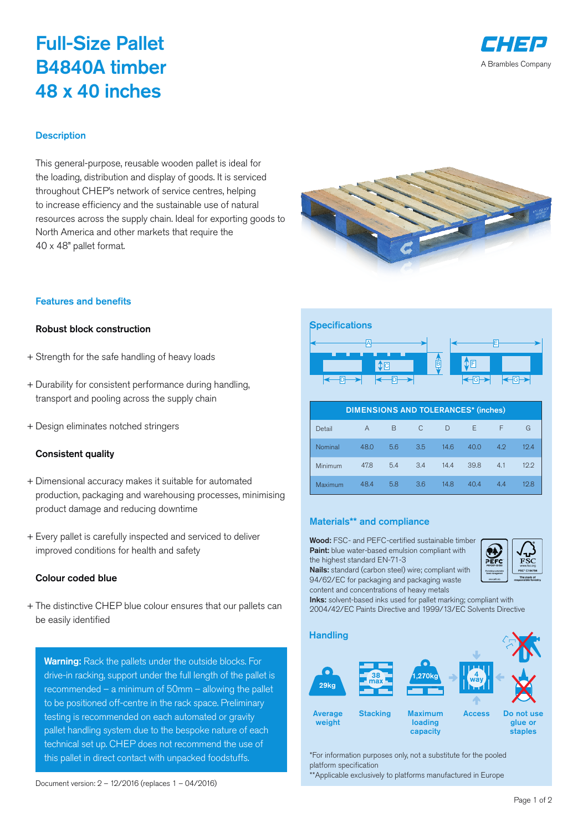# Full-Size Pallet B4840A timber 48 x 40 inches



#### **Description**

This general-purpose, reusable wooden pallet is ideal for the loading, distribution and display of goods. It is serviced throughout CHEP's network of service centres, helping to increase efficiency and the sustainable use of natural resources across the supply chain. Ideal for exporting goods to North America and other markets that require the 40 x 48" pallet format.



#### Features and benefits

## Robust block construction

- + Strength for the safe handling of heavy loads
- + Durability for consistent performance during handling, transport and pooling across the supply chain
- + Design eliminates notched stringers

#### Consistent quality

- + Dimensional accuracy makes it suitable for automated production, packaging and warehousing processes, minimising product damage and reducing downtime
- + Every pallet is carefully inspected and serviced to deliver improved conditions for health and safety

### Colour coded blue

+ The distinctive CHEP blue colour ensures that our pallets can be easily identified

Warning: Rack the pallets under the outside blocks. For drive-in racking, support under the full length of the pallet is recommended – a minimum of 50mm – allowing the pallet to be positioned off-centre in the rack space. Preliminary testing is recommended on each automated or gravity pallet handling system due to the bespoke nature of each technical set up. CHEP does not recommend the use of this pallet in direct contact with unpacked foodstuffs.



| <b>DIMENSIONS AND TOLERANCES* (inches)</b> |      |     |     |      |      |     |      |
|--------------------------------------------|------|-----|-----|------|------|-----|------|
| Detail                                     | A    | B   | C   | D    | E    | F   | G    |
| Nominal                                    | 48.0 | 5.6 | 3.5 | 14.6 | 40.0 | 4.2 | 19.4 |
| Minimum                                    | 47.8 | 5.4 | 3.4 | 14.4 | 39.8 | 4.1 | 12.2 |
| Maximum                                    | 48.4 | 5.8 | 3.6 | 14.8 | 40.4 | 4.4 | 12.8 |

#### Materials\*\* and compliance

Wood: FSC- and PEFC-certified sustainable timber Paint: blue water-based emulsion compliant with the highest standard EN-71-3

Nails: standard (carbon steel) wire; compliant with 94/62/EC for packaging and packaging waste content and concentrations of heavy metals



Inks: solvent-based inks used for pallet marking; compliant with 2004/42/EC Paints Directive and 1999/13/EC Solvents Directive



\*For information purposes only, not a substitute for the pooled platform specification

\*\*Applicable exclusively to platforms manufactured in Europe